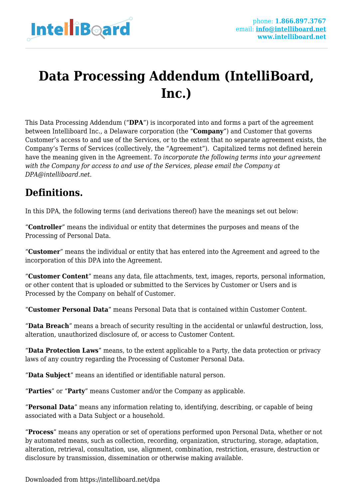

# **Data Processing Addendum (IntelliBoard, Inc.)**

This Data Processing Addendum ("**DPA**") is incorporated into and forms a part of the agreement between Intelliboard Inc., a Delaware corporation (the "**Company**") and Customer that governs Customer's access to and use of the Services, or to the extent that no separate agreement exists, the Company's Terms of Services (collectively, the "Agreement"). Capitalized terms not defined herein have the meaning given in the Agreement. *To incorporate the following terms into your agreement with the Company for access to and use of the Services, please email the Company at DPA@intelliboard.net.*

# **Definitions.**

In this DPA, the following terms (and derivations thereof) have the meanings set out below:

"**Controller**" means the individual or entity that determines the purposes and means of the Processing of Personal Data.

"**Customer**" means the individual or entity that has entered into the Agreement and agreed to the incorporation of this DPA into the Agreement.

"**Customer Content**" means any data, file attachments, text, images, reports, personal information, or other content that is uploaded or submitted to the Services by Customer or Users and is Processed by the Company on behalf of Customer.

"**Customer Personal Data**" means Personal Data that is contained within Customer Content.

"**Data Breach**" means a breach of security resulting in the accidental or unlawful destruction, loss, alteration, unauthorized disclosure of, or access to Customer Content.

"**Data Protection Laws**" means, to the extent applicable to a Party, the data protection or privacy laws of any country regarding the Processing of Customer Personal Data.

"**Data Subject**" means an identified or identifiable natural person.

"**Parties**" or "**Party**" means Customer and/or the Company as applicable.

"**Personal Data**" means any information relating to, identifying, describing, or capable of being associated with a Data Subject or a household.

"**Process**" means any operation or set of operations performed upon Personal Data, whether or not by automated means, such as collection, recording, organization, structuring, storage, adaptation, alteration, retrieval, consultation, use, alignment, combination, restriction, erasure, destruction or disclosure by transmission, dissemination or otherwise making available.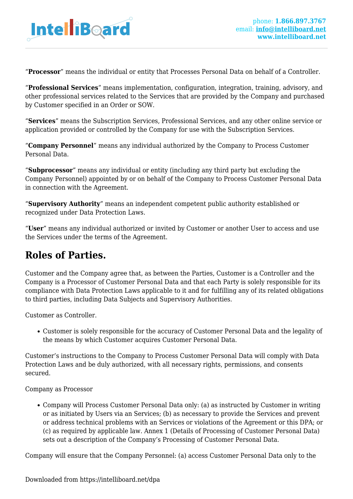

"**Processor**" means the individual or entity that Processes Personal Data on behalf of a Controller.

"**Professional Services**" means implementation, configuration, integration, training, advisory, and other professional services related to the Services that are provided by the Company and purchased by Customer specified in an Order or SOW.

"**Services**" means the Subscription Services, Professional Services, and any other online service or application provided or controlled by the Company for use with the Subscription Services.

"**Company Personnel**" means any individual authorized by the Company to Process Customer Personal Data.

"**Subprocessor**" means any individual or entity (including any third party but excluding the Company Personnel) appointed by or on behalf of the Company to Process Customer Personal Data in connection with the Agreement.

"**Supervisory Authority**" means an independent competent public authority established or recognized under Data Protection Laws.

"**User**" means any individual authorized or invited by Customer or another User to access and use the Services under the terms of the Agreement.

#### **Roles of Parties.**

Customer and the Company agree that, as between the Parties, Customer is a Controller and the Company is a Processor of Customer Personal Data and that each Party is solely responsible for its compliance with Data Protection Laws applicable to it and for fulfilling any of its related obligations to third parties, including Data Subjects and Supervisory Authorities.

Customer as Controller.

Customer is solely responsible for the accuracy of Customer Personal Data and the legality of the means by which Customer acquires Customer Personal Data.

Customer's instructions to the Company to Process Customer Personal Data will comply with Data Protection Laws and be duly authorized, with all necessary rights, permissions, and consents secured.

Company as Processor

Company will Process Customer Personal Data only: (a) as instructed by Customer in writing or as initiated by Users via an Services; (b) as necessary to provide the Services and prevent or address technical problems with an Services or violations of the Agreement or this DPA; or (c) as required by applicable law. Annex 1 (Details of Processing of Customer Personal Data) sets out a description of the Company's Processing of Customer Personal Data.

Company will ensure that the Company Personnel: (a) access Customer Personal Data only to the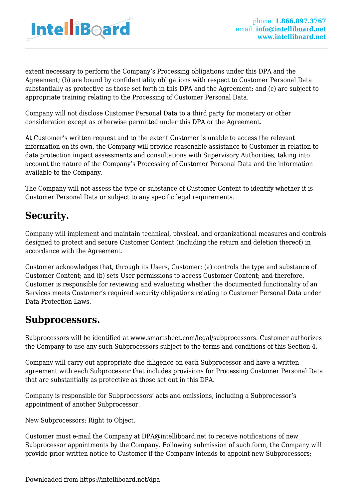

extent necessary to perform the Company's Processing obligations under this DPA and the Agreement; (b) are bound by confidentiality obligations with respect to Customer Personal Data substantially as protective as those set forth in this DPA and the Agreement; and (c) are subject to appropriate training relating to the Processing of Customer Personal Data.

Company will not disclose Customer Personal Data to a third party for monetary or other consideration except as otherwise permitted under this DPA or the Agreement.

At Customer's written request and to the extent Customer is unable to access the relevant information on its own, the Company will provide reasonable assistance to Customer in relation to data protection impact assessments and consultations with Supervisory Authorities, taking into account the nature of the Company's Processing of Customer Personal Data and the information available to the Company.

The Company will not assess the type or substance of Customer Content to identify whether it is Customer Personal Data or subject to any specific legal requirements.

### **Security.**

Company will implement and maintain technical, physical, and organizational measures and controls designed to protect and secure Customer Content (including the return and deletion thereof) in accordance with the Agreement.

Customer acknowledges that, through its Users, Customer: (a) controls the type and substance of Customer Content; and (b) sets User permissions to access Customer Content; and therefore, Customer is responsible for reviewing and evaluating whether the documented functionality of an Services meets Customer's required security obligations relating to Customer Personal Data under Data Protection Laws.

#### **Subprocessors.**

Subprocessors will be identified at www.smartsheet.com/legal/subprocessors. Customer authorizes the Company to use any such Subprocessors subject to the terms and conditions of this Section 4.

Company will carry out appropriate due diligence on each Subprocessor and have a written agreement with each Subprocessor that includes provisions for Processing Customer Personal Data that are substantially as protective as those set out in this DPA.

Company is responsible for Subprocessors' acts and omissions, including a Subprocessor's appointment of another Subprocessor.

New Subprocessors; Right to Object.

Customer must e-mail the Company at DPA@intelliboard.net to receive notifications of new Subprocessor appointments by the Company. Following submission of such form, the Company will provide prior written notice to Customer if the Company intends to appoint new Subprocessors;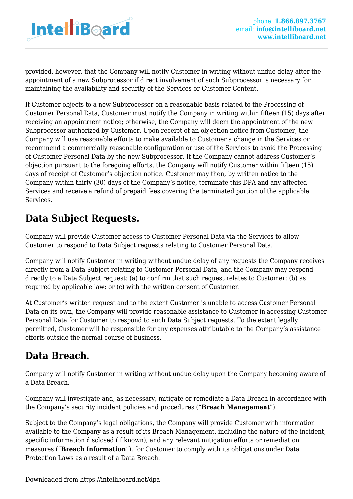

provided, however, that the Company will notify Customer in writing without undue delay after the appointment of a new Subprocessor if direct involvement of such Subprocessor is necessary for maintaining the availability and security of the Services or Customer Content.

If Customer objects to a new Subprocessor on a reasonable basis related to the Processing of Customer Personal Data, Customer must notify the Company in writing within fifteen (15) days after receiving an appointment notice; otherwise, the Company will deem the appointment of the new Subprocessor authorized by Customer. Upon receipt of an objection notice from Customer, the Company will use reasonable efforts to make available to Customer a change in the Services or recommend a commercially reasonable configuration or use of the Services to avoid the Processing of Customer Personal Data by the new Subprocessor. If the Company cannot address Customer's objection pursuant to the foregoing efforts, the Company will notify Customer within fifteen (15) days of receipt of Customer's objection notice. Customer may then, by written notice to the Company within thirty (30) days of the Company's notice, terminate this DPA and any affected Services and receive a refund of prepaid fees covering the terminated portion of the applicable Services.

### **Data Subject Requests.**

Company will provide Customer access to Customer Personal Data via the Services to allow Customer to respond to Data Subject requests relating to Customer Personal Data.

Company will notify Customer in writing without undue delay of any requests the Company receives directly from a Data Subject relating to Customer Personal Data, and the Company may respond directly to a Data Subject request: (a) to confirm that such request relates to Customer; (b) as required by applicable law; or (c) with the written consent of Customer.

At Customer's written request and to the extent Customer is unable to access Customer Personal Data on its own, the Company will provide reasonable assistance to Customer in accessing Customer Personal Data for Customer to respond to such Data Subject requests. To the extent legally permitted, Customer will be responsible for any expenses attributable to the Company's assistance efforts outside the normal course of business.

# **Data Breach.**

Company will notify Customer in writing without undue delay upon the Company becoming aware of a Data Breach.

Company will investigate and, as necessary, mitigate or remediate a Data Breach in accordance with the Company's security incident policies and procedures ("**Breach Management**").

Subject to the Company's legal obligations, the Company will provide Customer with information available to the Company as a result of its Breach Management, including the nature of the incident, specific information disclosed (if known), and any relevant mitigation efforts or remediation measures ("**Breach Information**"), for Customer to comply with its obligations under Data Protection Laws as a result of a Data Breach.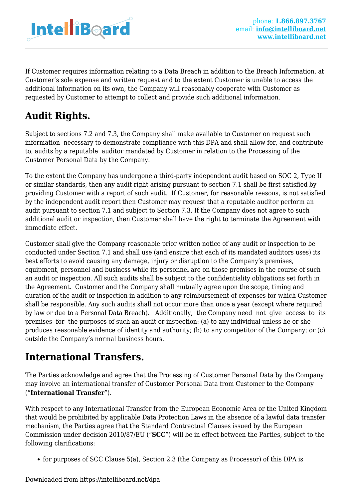

If Customer requires information relating to a Data Breach in addition to the Breach Information, at Customer's sole expense and written request and to the extent Customer is unable to access the additional information on its own, the Company will reasonably cooperate with Customer as requested by Customer to attempt to collect and provide such additional information.

# **Audit Rights.**

Subject to sections 7.2 and 7.3, the Company shall make available to Customer on request such information necessary to demonstrate compliance with this DPA and shall allow for, and contribute to, audits by a reputable auditor mandated by Customer in relation to the Processing of the Customer Personal Data by the Company.

To the extent the Company has undergone a third-party independent audit based on SOC 2, Type II or similar standards, then any audit right arising pursuant to section 7.1 shall be first satisfied by providing Customer with a report of such audit. If Customer, for reasonable reasons, is not satisfied by the independent audit report then Customer may request that a reputable auditor perform an audit pursuant to section 7.1 and subject to Section 7.3. If the Company does not agree to such additional audit or inspection, then Customer shall have the right to terminate the Agreement with immediate effect.

Customer shall give the Company reasonable prior written notice of any audit or inspection to be conducted under Section 7.1 and shall use (and ensure that each of its mandated auditors uses) its best efforts to avoid causing any damage, injury or disruption to the Company's premises, equipment, personnel and business while its personnel are on those premises in the course of such an audit or inspection. All such audits shall be subject to the confidentiality obligations set forth in the Agreement. Customer and the Company shall mutually agree upon the scope, timing and duration of the audit or inspection in addition to any reimbursement of expenses for which Customer shall be responsible. Any such audits shall not occur more than once a year (except where required by law or due to a Personal Data Breach). Additionally, the Company need not give access to its premises for the purposes of such an audit or inspection: (a) to any individual unless he or she produces reasonable evidence of identity and authority; (b) to any competitor of the Company; or (c) outside the Company's normal business hours.

# **International Transfers.**

The Parties acknowledge and agree that the Processing of Customer Personal Data by the Company may involve an international transfer of Customer Personal Data from Customer to the Company ("**International Transfer**").

With respect to any International Transfer from the European Economic Area or the United Kingdom that would be prohibited by applicable Data Protection Laws in the absence of a lawful data transfer mechanism, the Parties agree that the Standard Contractual Clauses issued by the European Commission under decision 2010/87/EU ("**SCC**") will be in effect between the Parties, subject to the following clarifications:

for purposes of SCC Clause 5(a), Section 2.3 (the Company as Processor) of this DPA is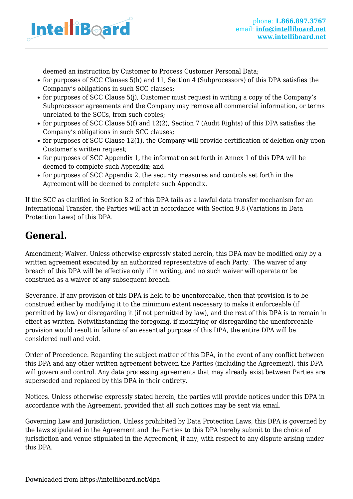

deemed an instruction by Customer to Process Customer Personal Data;

- for purposes of SCC Clauses 5(h) and 11, Section 4 (Subprocessors) of this DPA satisfies the Company's obligations in such SCC clauses;
- for purposes of SCC Clause 5(j), Customer must request in writing a copy of the Company's Subprocessor agreements and the Company may remove all commercial information, or terms unrelated to the SCCs, from such copies;
- for purposes of SCC Clause 5(f) and 12(2), Section 7 (Audit Rights) of this DPA satisfies the Company's obligations in such SCC clauses;
- for purposes of SCC Clause 12(1), the Company will provide certification of deletion only upon Customer's written request;
- for purposes of SCC Appendix 1, the information set forth in Annex 1 of this DPA will be deemed to complete such Appendix; and
- for purposes of SCC Appendix 2, the security measures and controls set forth in the Agreement will be deemed to complete such Appendix.

If the SCC as clarified in Section 8.2 of this DPA fails as a lawful data transfer mechanism for an International Transfer, the Parties will act in accordance with Section 9.8 (Variations in Data Protection Laws) of this DPA.

### **General.**

Amendment; Waiver. Unless otherwise expressly stated herein, this DPA may be modified only by a written agreement executed by an authorized representative of each Party. The waiver of any breach of this DPA will be effective only if in writing, and no such waiver will operate or be construed as a waiver of any subsequent breach.

Severance. If any provision of this DPA is held to be unenforceable, then that provision is to be construed either by modifying it to the minimum extent necessary to make it enforceable (if permitted by law) or disregarding it (if not permitted by law), and the rest of this DPA is to remain in effect as written. Notwithstanding the foregoing, if modifying or disregarding the unenforceable provision would result in failure of an essential purpose of this DPA, the entire DPA will be considered null and void.

Order of Precedence. Regarding the subject matter of this DPA, in the event of any conflict between this DPA and any other written agreement between the Parties (including the Agreement), this DPA will govern and control. Any data processing agreements that may already exist between Parties are superseded and replaced by this DPA in their entirety.

Notices. Unless otherwise expressly stated herein, the parties will provide notices under this DPA in accordance with the Agreement, provided that all such notices may be sent via email.

Governing Law and Jurisdiction. Unless prohibited by Data Protection Laws, this DPA is governed by the laws stipulated in the Agreement and the Parties to this DPA hereby submit to the choice of jurisdiction and venue stipulated in the Agreement, if any, with respect to any dispute arising under this DPA.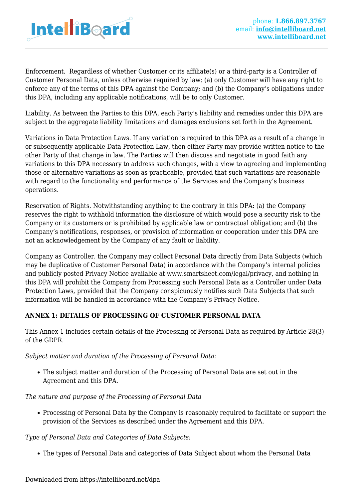

Enforcement. Regardless of whether Customer or its affiliate(s) or a third-party is a Controller of Customer Personal Data, unless otherwise required by law: (a) only Customer will have any right to enforce any of the terms of this DPA against the Company; and (b) the Company's obligations under this DPA, including any applicable notifications, will be to only Customer.

Liability. As between the Parties to this DPA, each Party's liability and remedies under this DPA are subject to the aggregate liability limitations and damages exclusions set forth in the Agreement.

Variations in Data Protection Laws. If any variation is required to this DPA as a result of a change in or subsequently applicable Data Protection Law, then either Party may provide written notice to the other Party of that change in law. The Parties will then discuss and negotiate in good faith any variations to this DPA necessary to address such changes, with a view to agreeing and implementing those or alternative variations as soon as practicable, provided that such variations are reasonable with regard to the functionality and performance of the Services and the Company's business operations.

Reservation of Rights. Notwithstanding anything to the contrary in this DPA: (a) the Company reserves the right to withhold information the disclosure of which would pose a security risk to the Company or its customers or is prohibited by applicable law or contractual obligation; and (b) the Company's notifications, responses, or provision of information or cooperation under this DPA are not an acknowledgement by the Company of any fault or liability.

Company as Controller. the Company may collect Personal Data directly from Data Subjects (which may be duplicative of Customer Personal Data) in accordance with the Company's internal policies and publicly posted Privacy Notice available at www.smartsheet.com/legal/privacy, and nothing in this DPA will prohibit the Company from Processing such Personal Data as a Controller under Data Protection Laws, provided that the Company conspicuously notifies such Data Subjects that such information will be handled in accordance with the Company's Privacy Notice.

#### **ANNEX 1: DETAILS OF PROCESSING OF CUSTOMER PERSONAL DATA**

This Annex 1 includes certain details of the Processing of Personal Data as required by Article 28(3) of the GDPR.

*Subject matter and duration of the Processing of Personal Data:*

The subject matter and duration of the Processing of Personal Data are set out in the Agreement and this DPA.

#### *The nature and purpose of the Processing of Personal Data*

• Processing of Personal Data by the Company is reasonably required to facilitate or support the provision of the Services as described under the Agreement and this DPA.

#### *Type of Personal Data and Categories of Data Subjects:*

The types of Personal Data and categories of Data Subject about whom the Personal Data